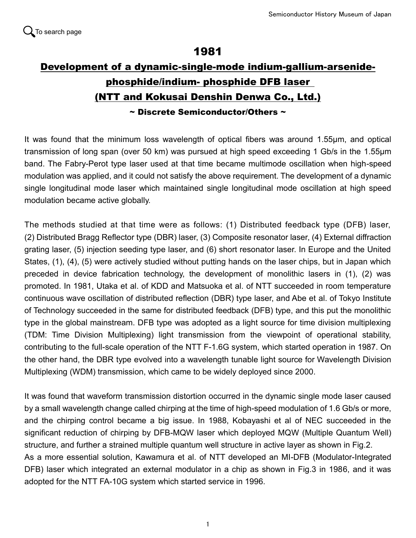## 1981

## Development of a dynamic-single-mode indium-gallium-arsenidephosphide/indium- phosphide DFB laser (NTT and Kokusai Denshin Denwa Co., Ltd.)

## $\sim$  Discrete Semiconductor/Others  $\sim$

It was found that the minimum loss wavelength of optical fibers was around 1.55μm, and optical transmission of long span (over 50 km) was pursued at high speed exceeding 1 Gb/s in the 1.55μm band. The Fabry-Perot type laser used at that time became multimode oscillation when high-speed modulation was applied, and it could not satisfy the above requirement. The development of a dynamic single longitudinal mode laser which maintained single longitudinal mode oscillation at high speed modulation became active globally.

The methods studied at that time were as follows: (1) Distributed feedback type (DFB) laser, (2) Distributed Bragg Reflector type (DBR) laser, (3) Composite resonator laser, (4) External diffraction grating laser, (5) injection seeding type laser, and (6) short resonator laser. In Europe and the United States, (1), (4), (5) were actively studied without putting hands on the laser chips, but in Japan which preceded in device fabrication technology, the development of monolithic lasers in (1), (2) was promoted. In 1981, Utaka et al. of KDD and Matsuoka et al. of NTT succeeded in room temperature continuous wave oscillation of distributed reflection (DBR) type laser, and Abe et al. of Tokyo Institute of Technology succeeded in the same for distributed feedback (DFB) type, and this put the monolithic type in the global mainstream. DFB type was adopted as a light source for time division multiplexing (TDM: Time Division Multiplexing) light transmission from the viewpoint of operational stability, contributing to the full-scale operation of the NTT F-1.6G system, which started operation in 1987. On the other hand, the DBR type evolved into a wavelength tunable light source for Wavelength Division Multiplexing (WDM) transmission, which came to be widely deployed since 2000.

It was found that waveform transmission distortion occurred in the dynamic single mode laser caused by a small wavelength change called chirping at the time of high-speed modulation of 1.6 Gb/s or more, and the chirping control became a big issue. In 1988, Kobayashi et al of NEC succeeded in the significant reduction of chirping by DFB-MQW laser which deployed MQW (Multiple Quantum Well) structure, and further a strained multiple quantum well structure in active layer as shown in Fig.2.

As a more essential solution, Kawamura et al. of NTT developed an MI-DFB (Modulator-Integrated DFB) laser which integrated an external modulator in a chip as shown in Fig.3 in 1986, and it was adopted for the NTT FA-10G system which started service in 1996.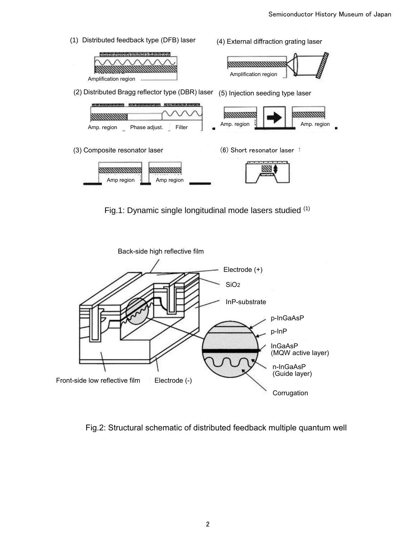(1) Distributed feedback type (DFB) laser (4) External diffraction grating laser **MARKETURS STATE** Amplification region Amplification region (2) Distributed Bragg reflector type (DBR) laser (5) Injection seeding type laser 8000000000 **REPORTS BUSINESS CONTROL** Amp. region Amp. region Amp. region Phase adjust. Filter (3) Composite resonator laser (6) Short resonator laser *<u>mmmmmmm</u>* mmmm Amp region **Amp** region

Fig.1: Dynamic single longitudinal mode lasers studied (1)



Fig.2: Structural schematic of distributed feedback multiple quantum well